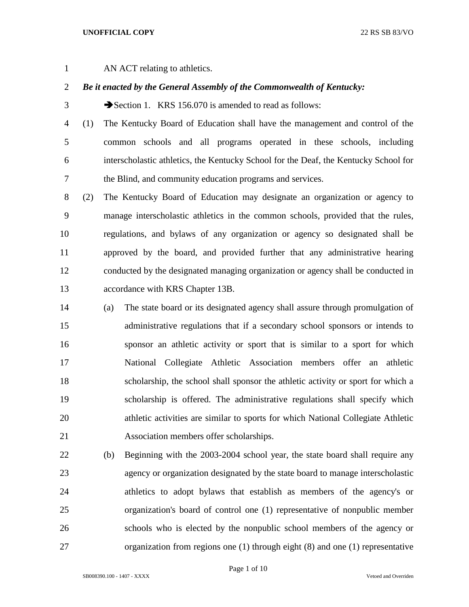## **UNOFFICIAL COPY** 22 RS SB 83/VO

AN ACT relating to athletics.

## *Be it enacted by the General Assembly of the Commonwealth of Kentucky:*

3 Section 1. KRS 156.070 is amended to read as follows:

 (1) The Kentucky Board of Education shall have the management and control of the common schools and all programs operated in these schools, including interscholastic athletics, the Kentucky School for the Deaf, the Kentucky School for the Blind, and community education programs and services.

 (2) The Kentucky Board of Education may designate an organization or agency to manage interscholastic athletics in the common schools, provided that the rules, regulations, and bylaws of any organization or agency so designated shall be approved by the board, and provided further that any administrative hearing conducted by the designated managing organization or agency shall be conducted in accordance with KRS Chapter 13B.

- (a) The state board or its designated agency shall assure through promulgation of administrative regulations that if a secondary school sponsors or intends to sponsor an athletic activity or sport that is similar to a sport for which National Collegiate Athletic Association members offer an athletic scholarship, the school shall sponsor the athletic activity or sport for which a scholarship is offered. The administrative regulations shall specify which athletic activities are similar to sports for which National Collegiate Athletic Association members offer scholarships.
- (b) Beginning with the 2003-2004 school year, the state board shall require any agency or organization designated by the state board to manage interscholastic athletics to adopt bylaws that establish as members of the agency's or organization's board of control one (1) representative of nonpublic member schools who is elected by the nonpublic school members of the agency or organization from regions one (1) through eight (8) and one (1) representative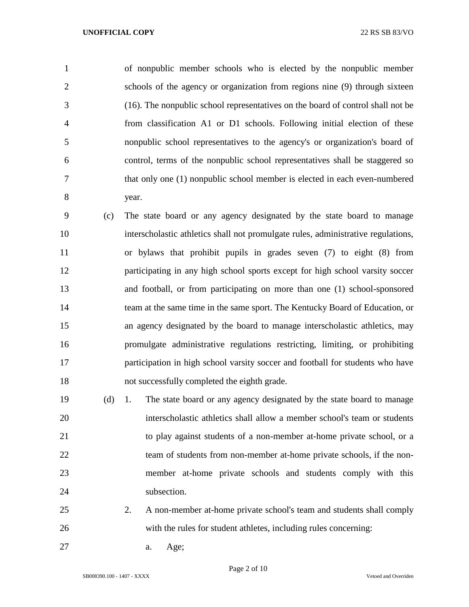of nonpublic member schools who is elected by the nonpublic member schools of the agency or organization from regions nine (9) through sixteen (16). The nonpublic school representatives on the board of control shall not be from classification A1 or D1 schools. Following initial election of these nonpublic school representatives to the agency's or organization's board of control, terms of the nonpublic school representatives shall be staggered so that only one (1) nonpublic school member is elected in each even-numbered year.

 (c) The state board or any agency designated by the state board to manage interscholastic athletics shall not promulgate rules, administrative regulations, or bylaws that prohibit pupils in grades seven (7) to eight (8) from participating in any high school sports except for high school varsity soccer and football, or from participating on more than one (1) school-sponsored team at the same time in the same sport. The Kentucky Board of Education, or an agency designated by the board to manage interscholastic athletics, may promulgate administrative regulations restricting, limiting, or prohibiting participation in high school varsity soccer and football for students who have not successfully completed the eighth grade.

 (d) 1. The state board or any agency designated by the state board to manage interscholastic athletics shall allow a member school's team or students to play against students of a non-member at-home private school, or a 22 team of students from non-member at-home private schools, if the non- member at-home private schools and students comply with this 24 subsection.

- 2. A non-member at-home private school's team and students shall comply with the rules for student athletes, including rules concerning:
- a. Age;

Page 2 of 10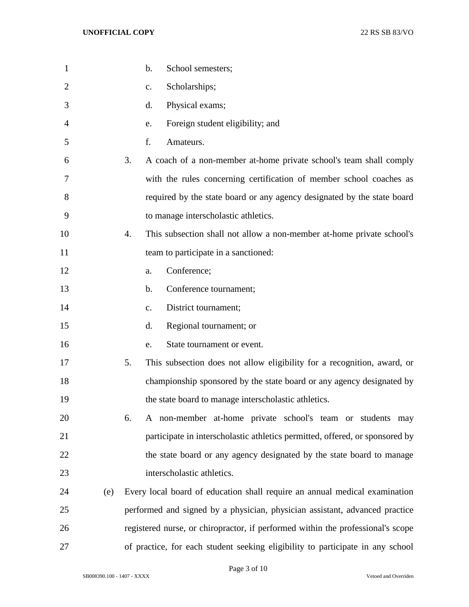| $\mathbf{1}$   |     | b.<br>School semesters;                                                         |
|----------------|-----|---------------------------------------------------------------------------------|
| $\overline{2}$ |     | Scholarships;<br>c.                                                             |
| 3              |     | Physical exams;<br>d.                                                           |
| 4              |     | Foreign student eligibility; and<br>e.                                          |
| 5              |     | f.<br>Amateurs.                                                                 |
| 6              |     | A coach of a non-member at-home private school's team shall comply<br>3.        |
| 7              |     | with the rules concerning certification of member school coaches as             |
| 8              |     | required by the state board or any agency designated by the state board         |
| 9              |     | to manage interscholastic athletics.                                            |
| 10             |     | This subsection shall not allow a non-member at-home private school's<br>4.     |
| 11             |     | team to participate in a sanctioned:                                            |
| 12             |     | Conference;<br>a.                                                               |
| 13             |     | Conference tournament;<br>b.                                                    |
| 14             |     | District tournament;<br>$\mathbf{c}$ .                                          |
| 15             |     | Regional tournament; or<br>d.                                                   |
| 16             |     | State tournament or event.<br>e.                                                |
| 17             |     | 5.<br>This subsection does not allow eligibility for a recognition, award, or   |
| 18             |     | championship sponsored by the state board or any agency designated by           |
| 19             |     | the state board to manage interscholastic athletics.                            |
| 20             |     | A non-member at-home private school's team or students may<br>6.                |
| 21             |     | participate in interscholastic athletics permitted, offered, or sponsored by    |
| 22             |     | the state board or any agency designated by the state board to manage           |
| 23             |     | interscholastic athletics.                                                      |
| 24             | (e) | Every local board of education shall require an annual medical examination      |
| 25             |     | performed and signed by a physician, physician assistant, advanced practice     |
| 26             |     | registered nurse, or chiropractor, if performed within the professional's scope |
| 27             |     | of practice, for each student seeking eligibility to participate in any school  |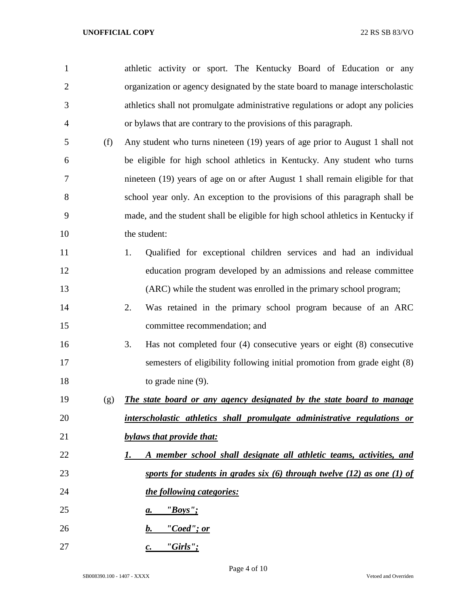| $\mathbf{1}$   |     | athletic activity or sport. The Kentucky Board of Education or any               |
|----------------|-----|----------------------------------------------------------------------------------|
| $\overline{2}$ |     | organization or agency designated by the state board to manage interscholastic   |
| 3              |     | athletics shall not promulgate administrative regulations or adopt any policies  |
| 4              |     | or bylaws that are contrary to the provisions of this paragraph.                 |
| 5              | (f) | Any student who turns nineteen (19) years of age prior to August 1 shall not     |
| 6              |     | be eligible for high school athletics in Kentucky. Any student who turns         |
| 7              |     | nineteen (19) years of age on or after August 1 shall remain eligible for that   |
| 8              |     | school year only. An exception to the provisions of this paragraph shall be      |
| 9              |     | made, and the student shall be eligible for high school athletics in Kentucky if |
| 10             |     | the student:                                                                     |
| 11             |     | Qualified for exceptional children services and had an individual<br>1.          |
| 12             |     | education program developed by an admissions and release committee               |
| 13             |     | (ARC) while the student was enrolled in the primary school program;              |
| 14             |     | Was retained in the primary school program because of an ARC<br>2.               |
| 15             |     | committee recommendation; and                                                    |
| 16             |     | Has not completed four $(4)$ consecutive years or eight $(8)$ consecutive<br>3.  |
| 17             |     | semesters of eligibility following initial promotion from grade eight (8)        |
| 18             |     | to grade nine $(9)$ .                                                            |
| 19             | (g) | The state board or any agency designated by the state board to manage            |
| 20             |     | interscholastic athletics shall promulgate administrative regulations or         |
| 21             |     | bylaws that provide that:                                                        |
| 22             |     | A member school shall designate all athletic teams, activities, and<br>1.        |
| 23             |     | sports for students in grades six $(6)$ through twelve $(12)$ as one $(1)$ of    |
| 24             |     | the following categories:                                                        |
| 25             |     | "Boys"<br>а.                                                                     |
| 26             |     | "Coed"; or<br>b.                                                                 |
| 27             |     | $"Girls"$ ;<br>c.                                                                |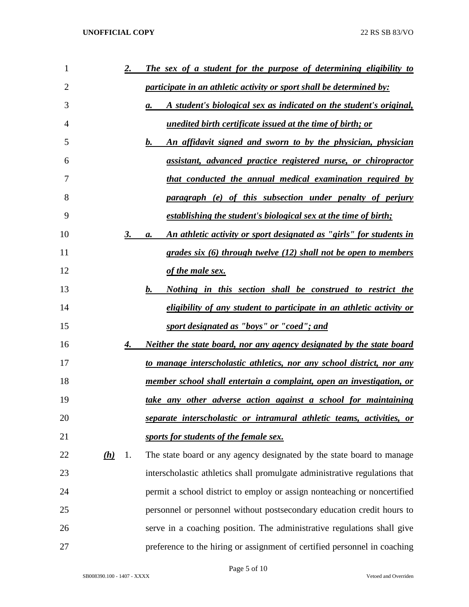| 1              |     | <u>2.</u> | The sex of a student for the purpose of determining eligibility to               |
|----------------|-----|-----------|----------------------------------------------------------------------------------|
| $\overline{2}$ |     |           | <i>participate in an athletic activity or sport shall be determined by:</i>      |
| 3              |     |           | A student's biological sex as indicated on the student's original,<br>a.         |
| 4              |     |           | <u>unedited birth certificate issued at the time of birth; or</u>                |
| 5              |     |           | An affidavit signed and sworn to by the physician, physician<br>b.               |
| 6              |     |           | assistant, advanced practice registered nurse, or chiropractor                   |
| 7              |     |           | <u>that conducted the annual medical examination required by</u>                 |
| 8              |     |           | paragraph (e) of this subsection under penalty of perjury                        |
| 9              |     |           | establishing the student's biological sex at the time of birth;                  |
| 10             |     | 3.        | <u>An athletic activity or sport designated as "girls" for students in</u><br>a. |
| 11             |     |           | grades six $(6)$ through twelve $(12)$ shall not be open to members              |
| 12             |     |           | of the male sex.                                                                 |
| 13             |     |           | <u>Nothing in this section shall be construed to restrict the</u><br>$\bm{b}$ .  |
| 14             |     |           | <i>eligibility of any student to participate in an athletic activity or</i>      |
| 15             |     |           | sport designated as "boys" or "coed"; and                                        |
| 16             |     | 4.        | <u>Neither the state board, nor any agency designated by the state board</u>     |
| 17             |     |           | to manage interscholastic athletics, nor any school district, nor any            |
| 18             |     |           | member school shall entertain a complaint, open an investigation, or             |
| 19             |     |           | take any other adverse action against a school for maintaining                   |
| 20             |     |           | separate interscholastic or intramural athletic teams, activities, or            |
| 21             |     |           | sports for students of the female sex.                                           |
| 22             | (h) | 1.        | The state board or any agency designated by the state board to manage            |
| 23             |     |           | interscholastic athletics shall promulgate administrative regulations that       |
| 24             |     |           | permit a school district to employ or assign nonteaching or noncertified         |
| 25             |     |           | personnel or personnel without postsecondary education credit hours to           |
| 26             |     |           | serve in a coaching position. The administrative regulations shall give          |
| 27             |     |           | preference to the hiring or assignment of certified personnel in coaching        |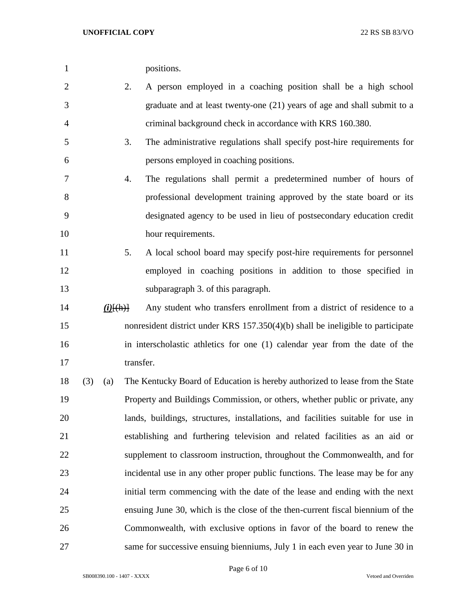**UNOFFICIAL COPY** 22 RS SB 83/VO

|                |     | UNOFFICIAL COPY        |           | 22 RS SB 83/VO                                                                  |
|----------------|-----|------------------------|-----------|---------------------------------------------------------------------------------|
| $\mathbf{1}$   |     |                        |           | positions.                                                                      |
| $\overline{2}$ |     |                        | 2.        | A person employed in a coaching position shall be a high school                 |
| 3              |     |                        |           | graduate and at least twenty-one (21) years of age and shall submit to a        |
| 4              |     |                        |           | criminal background check in accordance with KRS 160.380.                       |
| 5              |     |                        | 3.        | The administrative regulations shall specify post-hire requirements for         |
| 6              |     |                        |           | persons employed in coaching positions.                                         |
| 7              |     |                        | 4.        | The regulations shall permit a predetermined number of hours of                 |
| 8              |     |                        |           | professional development training approved by the state board or its            |
| 9              |     |                        |           | designated agency to be used in lieu of postsecondary education credit          |
| $\overline{0}$ |     |                        |           | hour requirements.                                                              |
| $\mathbf{1}$   |     |                        | 5.        | A local school board may specify post-hire requirements for personnel           |
| $\overline{2}$ |     |                        |           | employed in coaching positions in addition to those specified in                |
| 3              |     |                        |           | subparagraph 3. of this paragraph.                                              |
| 4              |     | $(i)$ $\{(\text{h})\}$ |           | Any student who transfers enrollment from a district of residence to a          |
| 5              |     |                        |           | nonresident district under KRS 157.350(4)(b) shall be ineligible to participate |
| 6              |     |                        |           | in interscholastic athletics for one (1) calendar year from the date of the     |
| 7              |     |                        | transfer. |                                                                                 |
| 8              | (3) | (a)                    |           | The Kentucky Board of Education is hereby authorized to lease from the State    |
| 9              |     |                        |           | Property and Buildings Commission, or others, whether public or private, any    |
| 20             |     |                        |           | lands, buildings, structures, installations, and facilities suitable for use in |
| $\mathbf{1}$   |     |                        |           | establishing and furthering television and related facilities as an aid or      |
| $\overline{2}$ |     |                        |           | supplement to classroom instruction, throughout the Commonwealth, and for       |

- 5. A local school board may specify post-hire requirements for personnel employed in coaching positions in addition to those specified in subparagraph 3. of this paragraph.
- *(i)* $\{\text{fth}\}$  Any student who transfers enrollment from a district of residence to a nonresident district under KRS 157.350(4)(b) shall be ineligible to participate in interscholastic athletics for one (1) calendar year from the date of the 17 transfer.
- (3) (a) The Kentucky Board of Education is hereby authorized to lease from the State Property and Buildings Commission, or others, whether public or private, any lands, buildings, structures, installations, and facilities suitable for use in establishing and furthering television and related facilities as an aid or supplement to classroom instruction, throughout the Commonwealth, and for incidental use in any other proper public functions. The lease may be for any initial term commencing with the date of the lease and ending with the next ensuing June 30, which is the close of the then-current fiscal biennium of the Commonwealth, with exclusive options in favor of the board to renew the same for successive ensuing bienniums, July 1 in each even year to June 30 in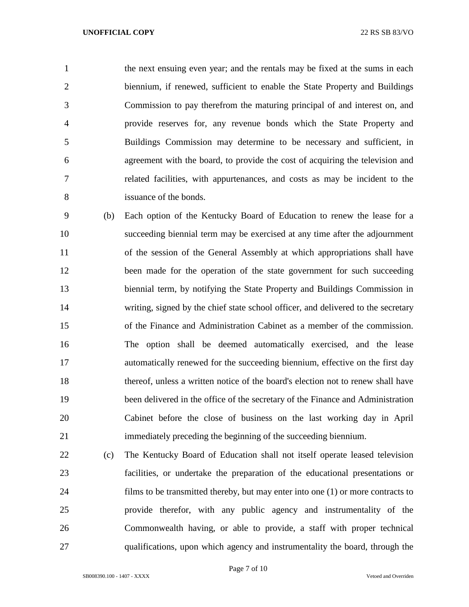the next ensuing even year; and the rentals may be fixed at the sums in each biennium, if renewed, sufficient to enable the State Property and Buildings Commission to pay therefrom the maturing principal of and interest on, and provide reserves for, any revenue bonds which the State Property and Buildings Commission may determine to be necessary and sufficient, in agreement with the board, to provide the cost of acquiring the television and related facilities, with appurtenances, and costs as may be incident to the issuance of the bonds.

 (b) Each option of the Kentucky Board of Education to renew the lease for a succeeding biennial term may be exercised at any time after the adjournment of the session of the General Assembly at which appropriations shall have 12 been made for the operation of the state government for such succeeding biennial term, by notifying the State Property and Buildings Commission in writing, signed by the chief state school officer, and delivered to the secretary of the Finance and Administration Cabinet as a member of the commission. The option shall be deemed automatically exercised, and the lease automatically renewed for the succeeding biennium, effective on the first day thereof, unless a written notice of the board's election not to renew shall have been delivered in the office of the secretary of the Finance and Administration Cabinet before the close of business on the last working day in April immediately preceding the beginning of the succeeding biennium.

 (c) The Kentucky Board of Education shall not itself operate leased television facilities, or undertake the preparation of the educational presentations or films to be transmitted thereby, but may enter into one (1) or more contracts to provide therefor, with any public agency and instrumentality of the Commonwealth having, or able to provide, a staff with proper technical qualifications, upon which agency and instrumentality the board, through the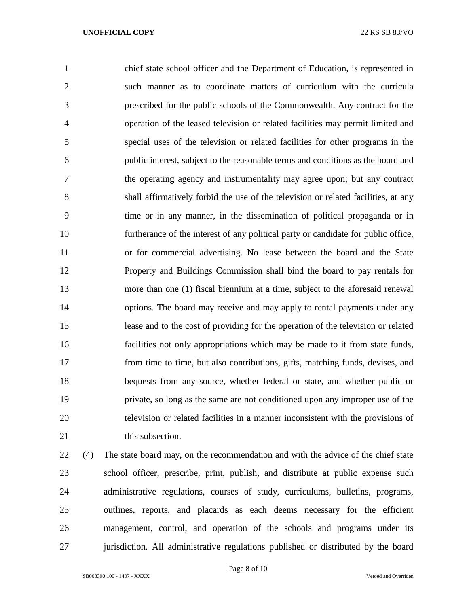chief state school officer and the Department of Education, is represented in such manner as to coordinate matters of curriculum with the curricula prescribed for the public schools of the Commonwealth. Any contract for the operation of the leased television or related facilities may permit limited and special uses of the television or related facilities for other programs in the public interest, subject to the reasonable terms and conditions as the board and the operating agency and instrumentality may agree upon; but any contract shall affirmatively forbid the use of the television or related facilities, at any time or in any manner, in the dissemination of political propaganda or in furtherance of the interest of any political party or candidate for public office, or for commercial advertising. No lease between the board and the State Property and Buildings Commission shall bind the board to pay rentals for more than one (1) fiscal biennium at a time, subject to the aforesaid renewal options. The board may receive and may apply to rental payments under any lease and to the cost of providing for the operation of the television or related facilities not only appropriations which may be made to it from state funds, from time to time, but also contributions, gifts, matching funds, devises, and bequests from any source, whether federal or state, and whether public or private, so long as the same are not conditioned upon any improper use of the television or related facilities in a manner inconsistent with the provisions of 21 this subsection.

 (4) The state board may, on the recommendation and with the advice of the chief state school officer, prescribe, print, publish, and distribute at public expense such administrative regulations, courses of study, curriculums, bulletins, programs, outlines, reports, and placards as each deems necessary for the efficient management, control, and operation of the schools and programs under its jurisdiction. All administrative regulations published or distributed by the board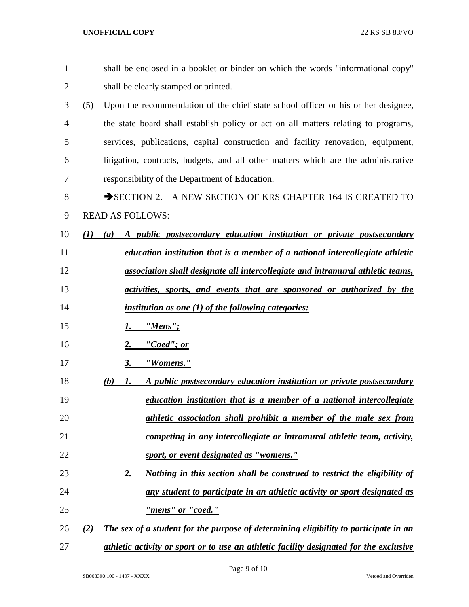| $\mathbf{1}$ | shall be enclosed in a booklet or binder on which the words "informational copy"            |
|--------------|---------------------------------------------------------------------------------------------|
| 2            | shall be clearly stamped or printed.                                                        |
| 3            | (5)<br>Upon the recommendation of the chief state school officer or his or her designee,    |
| 4            | the state board shall establish policy or act on all matters relating to programs,          |
| 5            | services, publications, capital construction and facility renovation, equipment,            |
| 6            | litigation, contracts, budgets, and all other matters which are the administrative          |
| 7            | responsibility of the Department of Education.                                              |
| 8            | SECTION 2. A NEW SECTION OF KRS CHAPTER 164 IS CREATED TO                                   |
| 9            | <b>READ AS FOLLOWS:</b>                                                                     |
| 10           | A public postsecondary education institution or private postsecondary<br>(I)<br>(a)         |
| 11           | education institution that is a member of a national intercollegiate athletic               |
| 12           | association shall designate all intercollegiate and intramural athletic teams,              |
| 13           | <u>activities, sports, and events that are sponsored or authorized by the</u>               |
| 14           | <i>institution as one (1) of the following categories:</i>                                  |
| 15           | $"Mens"$ ;<br>1.                                                                            |
| 16           | "Coed"; or<br>2.                                                                            |
| 17           | "Womens."<br>3.                                                                             |
| 18           | A public postsecondary education institution or private postsecondary<br>(b)<br>1.          |
| 19           | education institution that is a member of a national intercollegiate                        |
| 20           | athletic association shall prohibit a member of the male sex from                           |
| 21           | competing in any intercollegiate or intramural athletic team, activity,                     |
| 22           | sport, or event designated as "womens."                                                     |
| 23           | Nothing in this section shall be construed to restrict the eligibility of<br>2.             |
| 24           | any student to participate in an athletic activity or sport designated as                   |
| 25           | "mens" or "coed."                                                                           |
| 26           | The sex of a student for the purpose of determining eligibility to participate in an<br>(2) |
| 27           | athletic activity or sport or to use an athletic facility designated for the exclusive      |